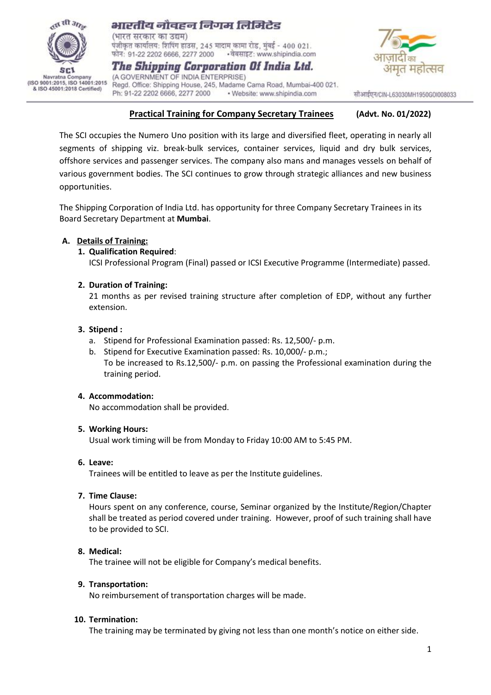

# भारतीय नौवहन निगम लिमिटेड

(भारत सरकार का उद्यम) पंजीकृत कार्यालय: शिपिंग हाउस, 245 मादाम कामा रोड, मुंबई - 400 021. • वेबसाइट: www.shipindia.com फोन: 91-22 2202 6666, 2277 2000

The Shipping Corporation Of India Ltd. (A GOVERNMENT OF INDIA ENTERPRISE) Regd. Office: Shipping House, 245, Madame Cama Road, Mumbai-400 021. Ph: 91-22 2202 6666, 2277 2000 · Website: www.shipindia.com



सीआईएन/CIN-L63030MH1950GOI008033

## **Practical Training for Company Secretary Trainees (Advt. No. 01/2022)**

The SCI occupies the Numero Uno position with its large and diversified fleet, operating in nearly all segments of shipping viz. break-bulk services, container services, liquid and dry bulk services, offshore services and passenger services. The company also mans and manages vessels on behalf of various government bodies. The SCI continues to grow through strategic alliances and new business opportunities.

The Shipping Corporation of India Ltd. has opportunity for three Company Secretary Trainees in its Board Secretary Department at **Mumbai**.

### **A. Details of Training:**

#### **1. Qualification Required**:

ICSI Professional Program (Final) passed or ICSI Executive Programme (Intermediate) passed.

#### **2. Duration of Training:**

21 months as per revised training structure after completion of EDP, without any further extension.

#### **3. Stipend :**

- a. Stipend for Professional Examination passed: Rs. 12,500/- p.m.
- b. Stipend for Executive Examination passed: Rs. 10,000/- p.m.; To be increased to Rs.12,500/- p.m. on passing the Professional examination during the training period.

#### **4. Accommodation:**

No accommodation shall be provided.

#### **5. Working Hours:**

Usual work timing will be from Monday to Friday 10:00 AM to 5:45 PM.

#### **6. Leave:**

Trainees will be entitled to leave as per the Institute guidelines.

#### **7. Time Clause:**

Hours spent on any conference, course, Seminar organized by the Institute/Region/Chapter shall be treated as period covered under training. However, proof of such training shall have to be provided to SCI.

## **8. Medical:**

The trainee will not be eligible for Company's medical benefits.

#### **9. Transportation:**

No reimbursement of transportation charges will be made.

#### **10. Termination:**

The training may be terminated by giving not less than one month's notice on either side.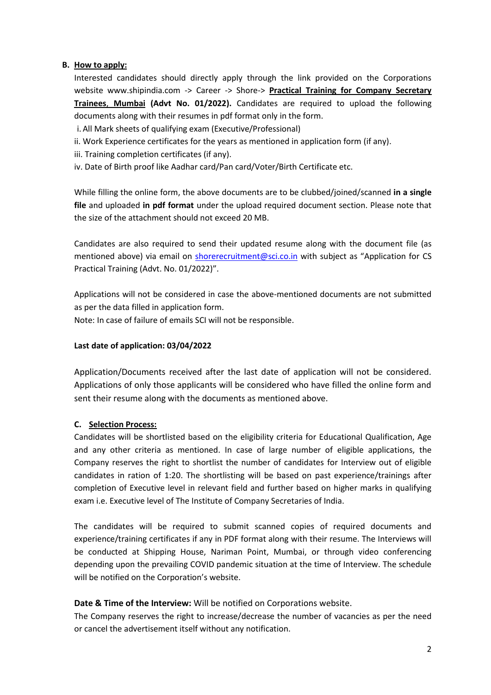## **B. How to apply:**

Interested candidates should directly apply through the link provided on the Corporations website [www.shipindia.com](http://www.shipindia.com/) -> Career -> Shore-> **Practical Training for Company Secretary Trainees**, **Mumbai (Advt No. 01/2022).** Candidates are required to upload the following documents along with their resumes in pdf format only in the form.

i. All Mark sheets of qualifying exam (Executive/Professional)

ii. Work Experience certificates for the years as mentioned in application form (if any).

iii. Training completion certificates (if any).

iv. Date of Birth proof like Aadhar card/Pan card/Voter/Birth Certificate etc.

While filling the online form, the above documents are to be clubbed/joined/scanned **in a single file** and uploaded **in pdf format** under the upload required document section. Please note that the size of the attachment should not exceed 20 MB.

Candidates are also required to send their updated resume along with the document file (as mentioned above) via email on [shorerecruitment@sci.co.in](mailto:shorerecruitment@sci.co.in) with subject as "Application for CS Practical Training (Advt. No. 01/2022)".

Applications will not be considered in case the above-mentioned documents are not submitted as per the data filled in application form.

Note: In case of failure of emails SCI will not be responsible.

## **Last date of application: 03/04/2022**

Application/Documents received after the last date of application will not be considered. Applications of only those applicants will be considered who have filled the online form and sent their resume along with the documents as mentioned above.

## **C. Selection Process:**

Candidates will be shortlisted based on the eligibility criteria for Educational Qualification, Age and any other criteria as mentioned. In case of large number of eligible applications, the Company reserves the right to shortlist the number of candidates for Interview out of eligible candidates in ration of 1:20. The shortlisting will be based on past experience/trainings after completion of Executive level in relevant field and further based on higher marks in qualifying exam i.e. Executive level of The Institute of Company Secretaries of India.

The candidates will be required to submit scanned copies of required documents and experience/training certificates if any in PDF format along with their resume. The Interviews will be conducted at Shipping House, Nariman Point, Mumbai, or through video conferencing depending upon the prevailing COVID pandemic situation at the time of Interview. The schedule will be notified on the Corporation's website.

## **Date & Time of the Interview:** Will be notified on Corporations website.

The Company reserves the right to increase/decrease the number of vacancies as per the need or cancel the advertisement itself without any notification.